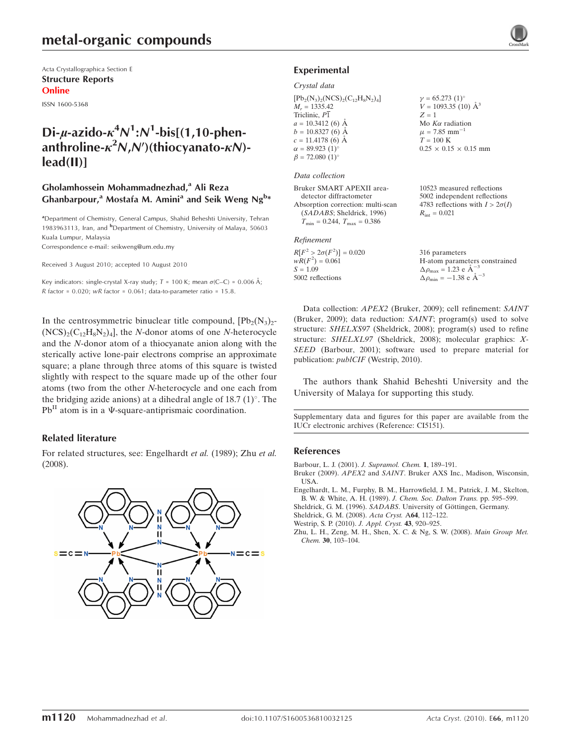Acta Crystallographica Section E Structure Reports Online

ISSN 1600-5368

## Di-µ-azido- $\kappa^4 N^1$ : $N^1$ -bis[(1,10-phenanthroline- $\kappa^2$ N,N')(thiocyanato- $\kappa$ N)lead(II)]

#### Gholamhossein Mohammadnezhad,<sup>a</sup> Ali Reza Ghanbarpour,<sup>a</sup> Mostafa M. Amini<sup>a</sup> and Seik Weng Ng<sup>b\*</sup>

<sup>a</sup> Department of Chemistry, General Campus, Shahid Beheshti University, Tehran 1983963113, Iran, and <sup>b</sup>Department of Chemistry, University of Malaya, 50603 Kuala Lumpur, Malaysia

Correspondence e-mail: seikweng@um.edu.my

Received 3 August 2010; accepted 10 August 2010

Key indicators: single-crystal X-ray study;  $T = 100$  K; mean  $\sigma$ (C–C) = 0.006 Å; R factor =  $0.020$ ; wR factor =  $0.061$ ; data-to-parameter ratio =  $15.8$ .

In the centrosymmetric binuclear title compound,  $[Pb_2(N_3)_2$ - $(NCS)_{2}(C_{12}H_{8}N_{2})_{4}$ , the *N*-donor atoms of one *N*-heterocycle and the N-donor atom of a thiocyanate anion along with the sterically active lone-pair electrons comprise an approximate square; a plane through three atoms of this square is twisted slightly with respect to the square made up of the other four atoms (two from the other N-heterocycle and one each from the bridging azide anions) at a dihedral angle of  $18.7 \,(1)^\circ$ . The  $Pb<sup>H</sup>$  atom is in a  $\Psi$ -square-antiprismaic coordination.

#### Related literature

For related structures, see: Engelhardt et al. (1989); Zhu et al. (2008).





#### Experimental

#### Crystal data

 $[Pb<sub>2</sub>(N<sub>3</sub>)<sub>2</sub>(NCS)<sub>2</sub>(C<sub>12</sub>H<sub>8</sub>N<sub>2</sub>)<sub>4</sub>]$  $M_r = 1335.42$ Triclinic, P1  $a = 10.3412(6)$  Å  $b = 10.8327(6)$  Å  $c = 11.4178(6)$  Å  $\alpha = 89.923 \ (1)^{\circ}$  $\beta = 72.080$  (1)<sup>o</sup>  $\gamma = 65.273 \ (1)^{\circ}$  $V = 1093.35(10)$   $\AA^3$  $Z = 1$ Mo  $K\alpha$  radiation  $\mu$  = 7.85 mm<sup>-1</sup>  $T=100~\mathrm{K}$  $0.25 \times 0.15 \times 0.15$  mm

#### Data collection

Bruker SMART APEXII areadetector diffractometer Absorption correction: multi-scan (SADABS; Sheldrick, 1996)  $T_{\text{min}} = 0.244$ ,  $T_{\text{max}} = 0.386$ 

#### Refinement

 $R[F^2 > 2\sigma(F^2)] = 0.020$ <br>  $wR(F^2) = 0.061$  $S = 1.09$ 5002 reflections

10523 measured reflections 5002 independent reflections 4783 reflections with  $I > 2\sigma(I)$  $R_{\text{int}} = 0.021$ 

316 parameters H-atom parameters constrained  $\Delta \rho_{\text{max}} = 1.23 \text{ e A}^{-1}$  $\Delta \rho_{\text{min}} = -1.38$  e  $\AA^{-3}$ 

Data collection: APEX2 (Bruker, 2009); cell refinement: SAINT (Bruker, 2009); data reduction: SAINT; program(s) used to solve structure: SHELXS97 (Sheldrick, 2008); program(s) used to refine structure: SHELXL97 (Sheldrick, 2008); molecular graphics: X-SEED (Barbour, 2001); software used to prepare material for publication: publCIF (Westrip, 2010).

The authors thank Shahid Beheshti University and the University of Malaya for supporting this study.

Supplementary data and figures for this paper are available from the IUCr electronic archives (Reference: CI5151).

#### References

- [Barbour, L. J. \(2001\).](https://scripts.iucr.org/cgi-bin/cr.cgi?rm=pdfbb&cnor=ci5151&bbid=BB1) J. Supramol. Chem. 1, 189–191.
- Bruker (2009). APEX2 and SAINT[. Bruker AXS Inc., Madison, Wisconsin,](https://scripts.iucr.org/cgi-bin/cr.cgi?rm=pdfbb&cnor=ci5151&bbid=BB2) [USA.](https://scripts.iucr.org/cgi-bin/cr.cgi?rm=pdfbb&cnor=ci5151&bbid=BB2)
- [Engelhardt, L. M., Furphy, B. M., Harrowfield, J. M., Patrick, J. M., Skelton,](https://scripts.iucr.org/cgi-bin/cr.cgi?rm=pdfbb&cnor=ci5151&bbid=BB3) [B. W. & White, A. H. \(1989\).](https://scripts.iucr.org/cgi-bin/cr.cgi?rm=pdfbb&cnor=ci5151&bbid=BB3) J. Chem. Soc. Dalton Trans. pp. 595–599.
- Sheldrick, G. M. (1996). SADABS. University of Göttingen, Germany.
- [Sheldrick, G. M. \(2008\).](https://scripts.iucr.org/cgi-bin/cr.cgi?rm=pdfbb&cnor=ci5151&bbid=BB5) Acta Cryst. A64, 112–122.
- [Westrip, S. P. \(2010\).](https://scripts.iucr.org/cgi-bin/cr.cgi?rm=pdfbb&cnor=ci5151&bbid=BB6) J. Appl. Cryst. 43, 920–925.
- [Zhu, L. H., Zeng, M. H., Shen, X. C. & Ng, S. W. \(2008\).](https://scripts.iucr.org/cgi-bin/cr.cgi?rm=pdfbb&cnor=ci5151&bbid=BB7) Main Group Met. Chem. 30[, 103–104.](https://scripts.iucr.org/cgi-bin/cr.cgi?rm=pdfbb&cnor=ci5151&bbid=BB7)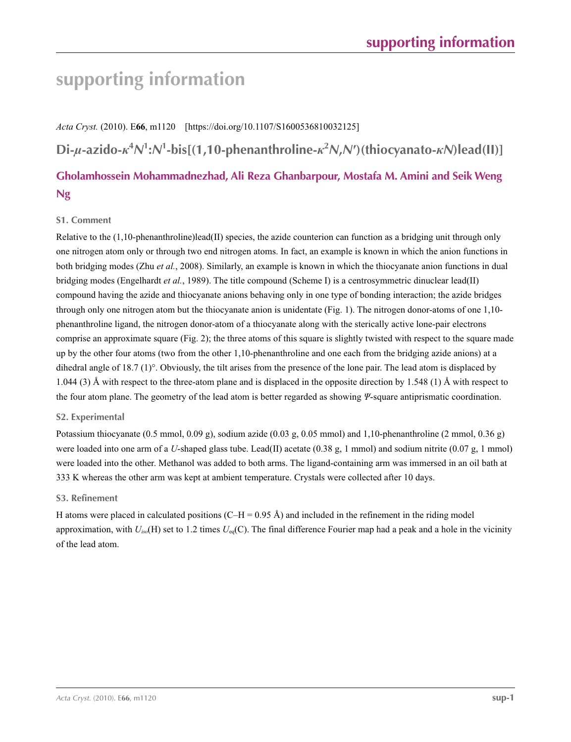# **supporting information**

### *Acta Cryst.* (2010). E**66**, m1120 [https://doi.org/10.1107/S1600536810032125]

Di- $\mu$ -azido- $\kappa^4 N^1$ : $N^1$ -bis[(1,10-phenanthroline- $\kappa^2 N$ , $N'$ )(thiocyanato- $\kappa N$ )lead(II)]

## **Gholamhossein Mohammadnezhad, Ali Reza Ghanbarpour, Mostafa M. Amini and Seik Weng Ng**

#### **S1. Comment**

Relative to the  $(1,10)$ -phenanthroline)lead(II) species, the azide counterion can function as a bridging unit through only one nitrogen atom only or through two end nitrogen atoms. In fact, an example is known in which the anion functions in both bridging modes (Zhu *et al.*, 2008). Similarly, an example is known in which the thiocyanate anion functions in dual bridging modes (Engelhardt *et al.*, 1989). The title compound (Scheme I) is a centrosymmetric dinuclear lead(II) compound having the azide and thiocyanate anions behaving only in one type of bonding interaction; the azide bridges through only one nitrogen atom but the thiocyanate anion is unidentate (Fig. 1). The nitrogen donor-atoms of one 1,10 phenanthroline ligand, the nitrogen donor-atom of a thiocyanate along with the sterically active lone-pair electrons comprise an approximate square (Fig. 2); the three atoms of this square is slightly twisted with respect to the square made up by the other four atoms (two from the other 1,10-phenanthroline and one each from the bridging azide anions) at a dihedral angle of 18.7 (1)°. Obviously, the tilt arises from the presence of the lone pair. The lead atom is displaced by 1.044 (3) Å with respect to the three-atom plane and is displaced in the opposite direction by 1.548 (1) Å with respect to the four atom plane. The geometry of the lead atom is better regarded as showing *Ψ*-square antiprismatic coordination.

#### **S2. Experimental**

Potassium thiocyanate (0.5 mmol, 0.09 g), sodium azide (0.03 g, 0.05 mmol) and 1,10-phenanthroline (2 mmol, 0.36 g) were loaded into one arm of a *U*-shaped glass tube. Lead(II) acetate (0.38 g, 1 mmol) and sodium nitrite (0.07 g, 1 mmol) were loaded into the other. Methanol was added to both arms. The ligand-containing arm was immersed in an oil bath at 333 K whereas the other arm was kept at ambient temperature. Crystals were collected after 10 days.

#### **S3. Refinement**

H atoms were placed in calculated positions  $(C-H = 0.95 \text{ Å})$  and included in the refinement in the riding model approximation, with *Uiso*(H) set to 1.2 times *U*eq(C). The final difference Fourier map had a peak and a hole in the vicinity of the lead atom.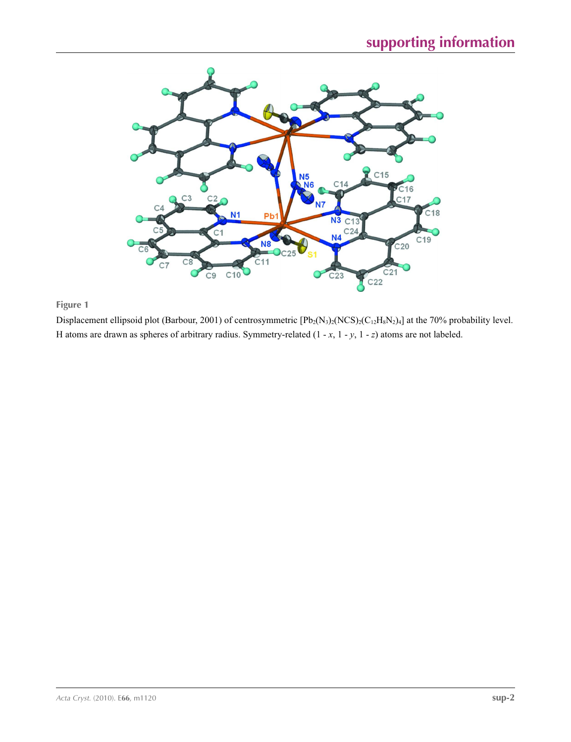

### **Figure 1**

Displacement ellipsoid plot (Barbour, 2001) of centrosymmetric  $[Pb_2(N_3)_2(NCS)_2(C_{12}H_8N_2)_4]$  at the 70% probability level. H atoms are drawn as spheres of arbitrary radius. Symmetry-related (1 - *x*, 1 - *y*, 1 - *z*) atoms are not labeled.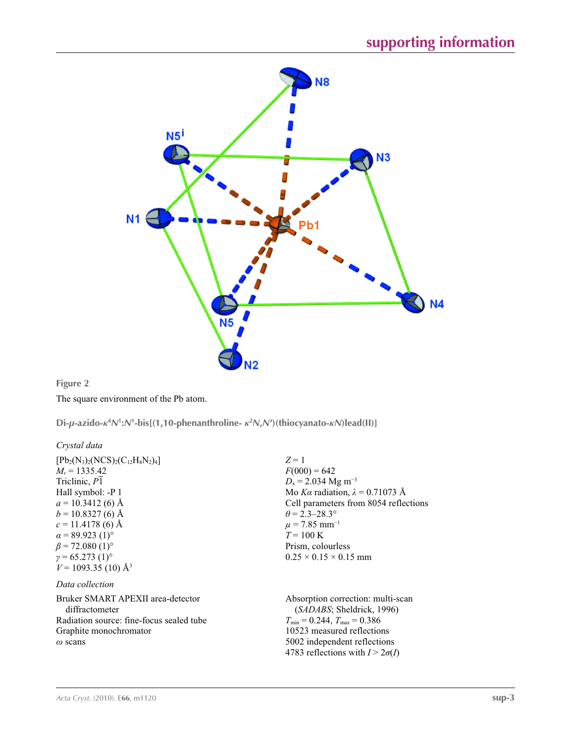

#### **Figure 2**

The square environment of the Pb atom.

Di- $\mu$ -azido- $\kappa^4 N^1$ : $N^1$ -bis[(1,10-phenanthroline- $\kappa^2 N$ , $N'$ )(thiocyanato- $\kappa N$ )lead(II)]

#### *Crystal data*

 $[Pb_2(N_3)_2(NCS)_2(C_{12}H_8N_2)_4]$  $M_r = 1335.42$ Triclinic, *P*1 Hall symbol: -P 1  $a = 10.3412$  (6) Å  $b = 10.8327(6)$  Å  $c = 11.4178(6)$  Å  $\alpha$  = 89.923 (1)<sup>o</sup>  $\beta$  = 72.080 (1)<sup>o</sup>  $\gamma$  = 65.273 (1)<sup>o</sup>  $V = 1093.35(10)$  Å<sup>3</sup>

#### *Data collection*

Bruker SMART APEXII area-detector diffractometer Radiation source: fine-focus sealed tube Graphite monochromator *ω* scans

*Z* = 1  $F(000) = 642$  $D_x = 2.034$  Mg m<sup>-3</sup> Mo *Kα* radiation,  $\lambda = 0.71073$  Å Cell parameters from 8054 reflections  $\theta$  = 2.3–28.3°  $\mu$  = 7.85 mm<sup>-1</sup>  $T = 100 \text{ K}$ Prism, colourless  $0.25 \times 0.15 \times 0.15$  mm

Absorption correction: multi-scan (*SADABS*; Sheldrick, 1996)  $T_{\text{min}} = 0.244, T_{\text{max}} = 0.386$ 10523 measured reflections 5002 independent reflections 4783 reflections with  $I > 2\sigma(I)$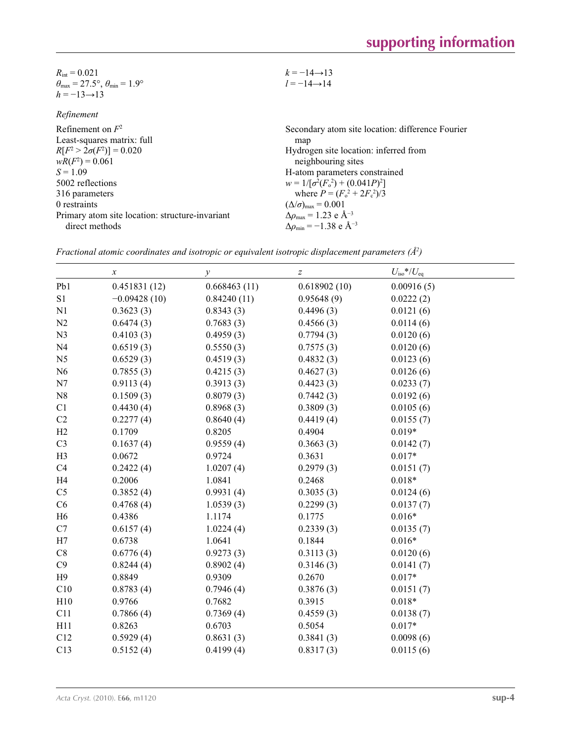| $R_{\text{int}} = 0.021$                                                | $k = -14 \rightarrow 13$ |
|-------------------------------------------------------------------------|--------------------------|
| $\theta_{\text{max}} = 27.5^{\circ}, \theta_{\text{min}} = 1.9^{\circ}$ | $l = -14 \rightarrow 14$ |
| $h = -13 \rightarrow 13$                                                |                          |

*Refinement*

Refinement on *F*<sup>2</sup> Least-squares matrix: full  $R[F^2 > 2\sigma(F^2)] = 0.020$  $wR(F^2) = 0.061$  $S = 1.09$ 5002 reflections 316 parameters 0 restraints Primary atom site location: structure-invariant direct methods Secondary atom site location: difference Fourier map Hydrogen site location: inferred from neighbouring sites H-atom parameters constrained  $w = 1/[\sigma^2 (F_o^2) + (0.041P)^2]$ where  $P = (F_0^2 + 2F_c^2)/3$  $(\Delta/\sigma)_{\text{max}} = 0.001$ Δ*ρ*max = 1.23 e Å−3  $\Delta \rho_{\text{min}} = -1.38 \text{ e } \text{\AA}^{-3}$ 

*Fractional atomic coordinates and isotropic or equivalent isotropic displacement parameters (Å2 )*

|                | $\boldsymbol{x}$ | у            | $\boldsymbol{Z}$ | $U_{\text{iso}}$ */ $U_{\text{eq}}$ |
|----------------|------------------|--------------|------------------|-------------------------------------|
| Pb1            | 0.451831(12)     | 0.668463(11) | 0.618902(10)     | 0.00916(5)                          |
| S1             | $-0.09428(10)$   | 0.84240(11)  | 0.95648(9)       | 0.0222(2)                           |
| N1             | 0.3623(3)        | 0.8343(3)    | 0.4496(3)        | 0.0121(6)                           |
| N2             | 0.6474(3)        | 0.7683(3)    | 0.4566(3)        | 0.0114(6)                           |
| N <sub>3</sub> | 0.4103(3)        | 0.4959(3)    | 0.7794(3)        | 0.0120(6)                           |
| N <sub>4</sub> | 0.6519(3)        | 0.5550(3)    | 0.7575(3)        | 0.0120(6)                           |
| N <sub>5</sub> | 0.6529(3)        | 0.4519(3)    | 0.4832(3)        | 0.0123(6)                           |
| N <sub>6</sub> | 0.7855(3)        | 0.4215(3)    | 0.4627(3)        | 0.0126(6)                           |
| N7             | 0.9113(4)        | 0.3913(3)    | 0.4423(3)        | 0.0233(7)                           |
| ${\bf N8}$     | 0.1509(3)        | 0.8079(3)    | 0.7442(3)        | 0.0192(6)                           |
| C1             | 0.4430(4)        | 0.8968(3)    | 0.3809(3)        | 0.0105(6)                           |
| C2             | 0.2277(4)        | 0.8640(4)    | 0.4419(4)        | 0.0155(7)                           |
| H2             | 0.1709           | 0.8205       | 0.4904           | $0.019*$                            |
| C <sub>3</sub> | 0.1637(4)        | 0.9559(4)    | 0.3663(3)        | 0.0142(7)                           |
| H <sub>3</sub> | 0.0672           | 0.9724       | 0.3631           | $0.017*$                            |
| C4             | 0.2422(4)        | 1.0207(4)    | 0.2979(3)        | 0.0151(7)                           |
| H <sub>4</sub> | 0.2006           | 1.0841       | 0.2468           | $0.018*$                            |
| C <sub>5</sub> | 0.3852(4)        | 0.9931(4)    | 0.3035(3)        | 0.0124(6)                           |
| C6             | 0.4768(4)        | 1.0539(3)    | 0.2299(3)        | 0.0137(7)                           |
| H <sub>6</sub> | 0.4386           | 1.1174       | 0.1775           | $0.016*$                            |
| C7             | 0.6157(4)        | 1.0224(4)    | 0.2339(3)        | 0.0135(7)                           |
| H7             | 0.6738           | 1.0641       | 0.1844           | $0.016*$                            |
| C8             | 0.6776(4)        | 0.9273(3)    | 0.3113(3)        | 0.0120(6)                           |
| C9             | 0.8244(4)        | 0.8902(4)    | 0.3146(3)        | 0.0141(7)                           |
| H9             | 0.8849           | 0.9309       | 0.2670           | $0.017*$                            |
| C10            | 0.8783(4)        | 0.7946(4)    | 0.3876(3)        | 0.0151(7)                           |
| H10            | 0.9766           | 0.7682       | 0.3915           | $0.018*$                            |
| C11            | 0.7866(4)        | 0.7369(4)    | 0.4559(3)        | 0.0138(7)                           |
| H11            | 0.8263           | 0.6703       | 0.5054           | $0.017*$                            |
| C12            | 0.5929(4)        | 0.8631(3)    | 0.3841(3)        | 0.0098(6)                           |
| C13            | 0.5152(4)        | 0.4199(4)    | 0.8317(3)        | 0.0115(6)                           |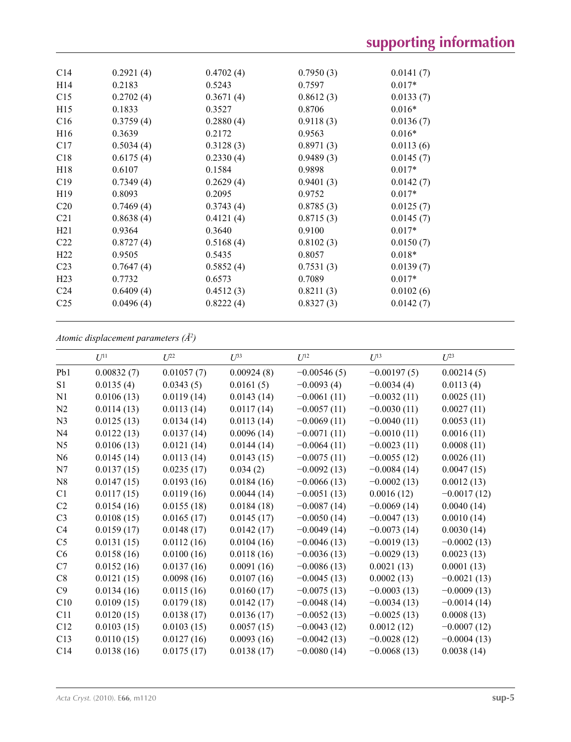| C <sub>14</sub> | 0.2921(4) | 0.4702(4) | 0.7950(3) | 0.0141(7) |  |
|-----------------|-----------|-----------|-----------|-----------|--|
| H <sub>14</sub> | 0.2183    | 0.5243    | 0.7597    | $0.017*$  |  |
| C15             | 0.2702(4) | 0.3671(4) | 0.8612(3) | 0.0133(7) |  |
| H15             | 0.1833    | 0.3527    | 0.8706    | $0.016*$  |  |
| C16             | 0.3759(4) | 0.2880(4) | 0.9118(3) | 0.0136(7) |  |
| H16             | 0.3639    | 0.2172    | 0.9563    | $0.016*$  |  |
| C17             | 0.5034(4) | 0.3128(3) | 0.8971(3) | 0.0113(6) |  |
| C18             | 0.6175(4) | 0.2330(4) | 0.9489(3) | 0.0145(7) |  |
| H <sub>18</sub> | 0.6107    | 0.1584    | 0.9898    | $0.017*$  |  |
| C19             | 0.7349(4) | 0.2629(4) | 0.9401(3) | 0.0142(7) |  |
| H <sub>19</sub> | 0.8093    | 0.2095    | 0.9752    | $0.017*$  |  |
| C <sub>20</sub> | 0.7469(4) | 0.3743(4) | 0.8785(3) | 0.0125(7) |  |
| C <sub>21</sub> | 0.8638(4) | 0.4121(4) | 0.8715(3) | 0.0145(7) |  |
| H21             | 0.9364    | 0.3640    | 0.9100    | $0.017*$  |  |
| C <sub>22</sub> | 0.8727(4) | 0.5168(4) | 0.8102(3) | 0.0150(7) |  |
| H <sub>22</sub> | 0.9505    | 0.5435    | 0.8057    | $0.018*$  |  |
| C <sub>23</sub> | 0.7647(4) | 0.5852(4) | 0.7531(3) | 0.0139(7) |  |
| H <sub>23</sub> | 0.7732    | 0.6573    | 0.7089    | $0.017*$  |  |
| C <sub>24</sub> | 0.6409(4) | 0.4512(3) | 0.8211(3) | 0.0102(6) |  |
| C <sub>25</sub> | 0.0496(4) | 0.8222(4) | 0.8327(3) | 0.0142(7) |  |
|                 |           |           |           |           |  |

### *Atomic displacement parameters (Å2 )*

|                | $U^{11}$   | $U^{22}$   | $U^{33}$   | $U^{12}$      | $U^{13}$      | $U^{23}$      |
|----------------|------------|------------|------------|---------------|---------------|---------------|
| Pb1            | 0.00832(7) | 0.01057(7) | 0.00924(8) | $-0.00546(5)$ | $-0.00197(5)$ | 0.00214(5)    |
| S <sub>1</sub> | 0.0135(4)  | 0.0343(5)  | 0.0161(5)  | $-0.0093(4)$  | $-0.0034(4)$  | 0.0113(4)     |
| N1             | 0.0106(13) | 0.0119(14) | 0.0143(14) | $-0.0061(11)$ | $-0.0032(11)$ | 0.0025(11)    |
| N2             | 0.0114(13) | 0.0113(14) | 0.0117(14) | $-0.0057(11)$ | $-0.0030(11)$ | 0.0027(11)    |
| N <sub>3</sub> | 0.0125(13) | 0.0134(14) | 0.0113(14) | $-0.0069(11)$ | $-0.0040(11)$ | 0.0053(11)    |
| N <sub>4</sub> | 0.0122(13) | 0.0137(14) | 0.0096(14) | $-0.0071(11)$ | $-0.0010(11)$ | 0.0016(11)    |
| N <sub>5</sub> | 0.0106(13) | 0.0121(14) | 0.0144(14) | $-0.0064(11)$ | $-0.0023(11)$ | 0.0008(11)    |
| N <sub>6</sub> | 0.0145(14) | 0.0113(14) | 0.0143(15) | $-0.0075(11)$ | $-0.0055(12)$ | 0.0026(11)    |
| N7             | 0.0137(15) | 0.0235(17) | 0.034(2)   | $-0.0092(13)$ | $-0.0084(14)$ | 0.0047(15)    |
| N8             | 0.0147(15) | 0.0193(16) | 0.0184(16) | $-0.0066(13)$ | $-0.0002(13)$ | 0.0012(13)    |
| C1             | 0.0117(15) | 0.0119(16) | 0.0044(14) | $-0.0051(13)$ | 0.0016(12)    | $-0.0017(12)$ |
| C <sub>2</sub> | 0.0154(16) | 0.0155(18) | 0.0184(18) | $-0.0087(14)$ | $-0.0069(14)$ | 0.0040(14)    |
| C <sub>3</sub> | 0.0108(15) | 0.0165(17) | 0.0145(17) | $-0.0050(14)$ | $-0.0047(13)$ | 0.0010(14)    |
| C4             | 0.0159(17) | 0.0148(17) | 0.0142(17) | $-0.0049(14)$ | $-0.0073(14)$ | 0.0030(14)    |
| C <sub>5</sub> | 0.0131(15) | 0.0112(16) | 0.0104(16) | $-0.0046(13)$ | $-0.0019(13)$ | $-0.0002(13)$ |
| C6             | 0.0158(16) | 0.0100(16) | 0.0118(16) | $-0.0036(13)$ | $-0.0029(13)$ | 0.0023(13)    |
| C7             | 0.0152(16) | 0.0137(16) | 0.0091(16) | $-0.0086(13)$ | 0.0021(13)    | 0.0001(13)    |
| C8             | 0.0121(15) | 0.0098(16) | 0.0107(16) | $-0.0045(13)$ | 0.0002(13)    | $-0.0021(13)$ |
| C9             | 0.0134(16) | 0.0115(16) | 0.0160(17) | $-0.0075(13)$ | $-0.0003(13)$ | $-0.0009(13)$ |
| C10            | 0.0109(15) | 0.0179(18) | 0.0142(17) | $-0.0048(14)$ | $-0.0034(13)$ | $-0.0014(14)$ |
| C11            | 0.0120(15) | 0.0138(17) | 0.0136(17) | $-0.0052(13)$ | $-0.0025(13)$ | 0.0008(13)    |
| C12            | 0.0103(15) | 0.0103(15) | 0.0057(15) | $-0.0043(12)$ | 0.0012(12)    | $-0.0007(12)$ |
| C13            | 0.0110(15) | 0.0127(16) | 0.0093(16) | $-0.0042(13)$ | $-0.0028(12)$ | $-0.0004(13)$ |
| C14            | 0.0138(16) | 0.0175(17) | 0.0138(17) | $-0.0080(14)$ | $-0.0068(13)$ | 0.0038(14)    |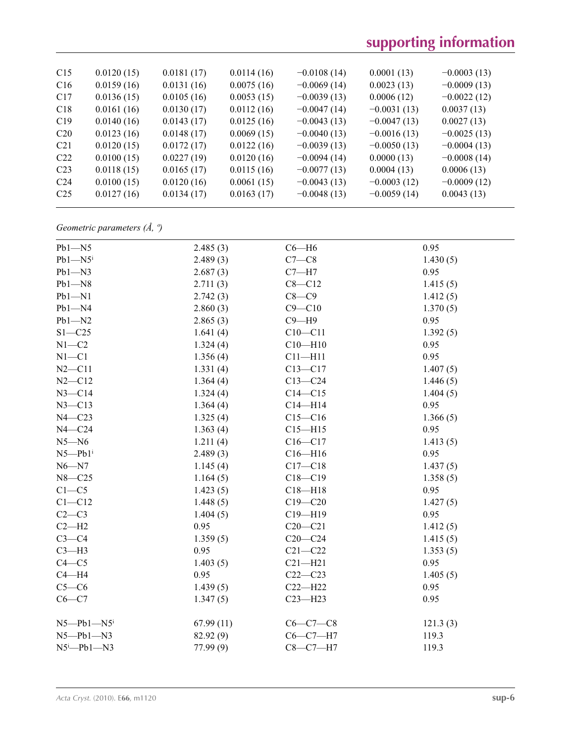## **supporting information**

| C15             | 0.0120(15) | 0.0181(17) | 0.0114(16) | $-0.0108(14)$ | 0.0001(13)    | $-0.0003(13)$ |  |
|-----------------|------------|------------|------------|---------------|---------------|---------------|--|
| C <sub>16</sub> | 0.0159(16) | 0.0131(16) | 0.0075(16) | $-0.0069(14)$ | 0.0023(13)    | $-0.0009(13)$ |  |
| C17             | 0.0136(15) | 0.0105(16) | 0.0053(15) | $-0.0039(13)$ | 0.0006(12)    | $-0.0022(12)$ |  |
| C18             | 0.0161(16) | 0.0130(17) | 0.0112(16) | $-0.0047(14)$ | $-0.0031(13)$ | 0.0037(13)    |  |
| C19             | 0.0140(16) | 0.0143(17) | 0.0125(16) | $-0.0043(13)$ | $-0.0047(13)$ | 0.0027(13)    |  |
| C <sub>20</sub> | 0.0123(16) | 0.0148(17) | 0.0069(15) | $-0.0040(13)$ | $-0.0016(13)$ | $-0.0025(13)$ |  |
| C <sub>21</sub> | 0.0120(15) | 0.0172(17) | 0.0122(16) | $-0.0039(13)$ | $-0.0050(13)$ | $-0.0004(13)$ |  |
| C22             | 0.0100(15) | 0.0227(19) | 0.0120(16) | $-0.0094(14)$ | 0.0000(13)    | $-0.0008(14)$ |  |
| C <sub>23</sub> | 0.0118(15) | 0.0165(17) | 0.0115(16) | $-0.0077(13)$ | 0.0004(13)    | 0.0006(13)    |  |
| C <sub>24</sub> | 0.0100(15) | 0.0120(16) | 0.0061(15) | $-0.0043(13)$ | $-0.0003(12)$ | $-0.0009(12)$ |  |
| C <sub>25</sub> | 0.0127(16) | 0.0134(17) | 0.0163(17) | $-0.0048(13)$ | $-0.0059(14)$ | 0.0043(13)    |  |
|                 |            |            |            |               |               |               |  |

## *Geometric parameters (Å, º)*

| $Pb1 - N5$              | 2.485(3)  | $C6 - H6$   | 0.95     |  |
|-------------------------|-----------|-------------|----------|--|
| $Pb1 - N5$              | 2.489(3)  | $C7-C8$     | 1.430(5) |  |
| $Pb1 - N3$              | 2.687(3)  | $C7 - H7$   | 0.95     |  |
| $Pb1 - N8$              | 2.711(3)  | $C8 - C12$  | 1.415(5) |  |
| $Pb1 - N1$              | 2.742(3)  | $C8-C9$     | 1.412(5) |  |
| $Pb1 - N4$              | 2.860(3)  | $C9 - C10$  | 1.370(5) |  |
| $Pb1 - N2$              | 2.865(3)  | $C9 - H9$   | 0.95     |  |
| $S1 - C25$              | 1.641(4)  | $C10-C11$   | 1.392(5) |  |
| $N1-C2$                 | 1.324(4)  | $C10 - H10$ | 0.95     |  |
| $N1 - C1$               | 1.356(4)  | $C11 - H11$ | 0.95     |  |
| $N2 - C11$              | 1.331(4)  | $C13 - C17$ | 1.407(5) |  |
| $N2 - C12$              | 1.364(4)  | $C13 - C24$ | 1.446(5) |  |
| $N3 - C14$              | 1.324(4)  | $C14 - C15$ | 1.404(5) |  |
| $N3 - C13$              | 1.364(4)  | $C14 - H14$ | 0.95     |  |
| $N4 - C23$              | 1.325(4)  | $C15 - C16$ | 1.366(5) |  |
| $N4 - C24$              | 1.363(4)  | $C15 - H15$ | 0.95     |  |
| $N5 - N6$               | 1.211(4)  | $C16 - C17$ | 1.413(5) |  |
| $N5 - Pb1$ <sup>i</sup> | 2.489(3)  | $C16 - H16$ | 0.95     |  |
| $N6 - N7$               | 1.145(4)  | $C17 - C18$ | 1.437(5) |  |
| $N8 - C25$              | 1.164(5)  | $C18 - C19$ | 1.358(5) |  |
| $C1 - C5$               | 1.423(5)  | $C18 - H18$ | 0.95     |  |
| $C1 - C12$              | 1.448(5)  | $C19 - C20$ | 1.427(5) |  |
| $C2-C3$                 | 1.404(5)  | $C19 - H19$ | 0.95     |  |
| $C2-H2$                 | 0.95      | $C20-C21$   | 1.412(5) |  |
| $C3-C4$                 | 1.359(5)  | $C20-C24$   | 1.415(5) |  |
| $C3-H3$                 | 0.95      | $C21 - C22$ | 1.353(5) |  |
| $C4 - C5$               | 1.403(5)  | $C21 - H21$ | 0.95     |  |
| $C4 - H4$               | 0.95      | $C22-C23$   | 1.405(5) |  |
| $C5-C6$                 | 1.439(5)  | $C22-H22$   | 0.95     |  |
| $C6-C7$                 | 1.347(5)  | $C23 - H23$ | 0.95     |  |
| $N5 - Pb1 - N5$         | 67.99(11) | $C6-C7-C8$  | 121.3(3) |  |
| $N5 - Pb1 - N3$         | 82.92 (9) | $C6-C7-H7$  | 119.3    |  |
| $N5^i$ -Pb1- $N3$       | 77.99(9)  | $C8-C7-H7$  | 119.3    |  |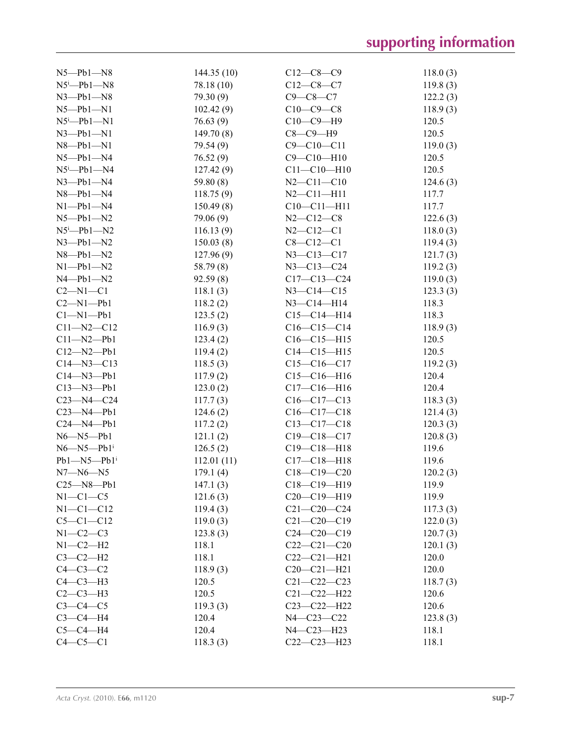| $N5 - Pb1 - N8$              | 144.35(10)  | $C12-C8-C9$       | 118.0(3) |
|------------------------------|-------------|-------------------|----------|
| $N5^i$ -Pb1- $N8$            | 78.18 (10)  | $C12-C8-C7$       | 119.8(3) |
| $N3$ -Pb1- $N8$              | 79.30 (9)   | $C9 - C8 - C7$    | 122.2(3) |
| $N5 - Pb1 - N1$              | 102.42(9)   | $C10-C9-C8$       | 118.9(3) |
| $N5^i$ -Pb1-N1               | 76.63(9)    | $C10-C9-H9$       | 120.5    |
| $N3$ -Pb1-N1                 | 149.70(8)   | $C8-C9-H9$        | 120.5    |
| $N8$ -Pb1- $N1$              | 79.54 (9)   | $C9 - C10 - C11$  | 119.0(3) |
| $N5 - Pb1 - N4$              | 76.52(9)    | $C9 - C10 - H10$  | 120.5    |
| $N5$ <sup>i</sup> —Pb1—N4    | 127.42(9)   | $C11 - C10 - H10$ | 120.5    |
| $N3$ -Pb1-N4                 | 59.80 $(8)$ | $N2 - C11 - C10$  | 124.6(3) |
| $N8$ -Pb1- $N4$              | 118.75(9)   | $N2 - C11 - H11$  | 117.7    |
| $N1 - Pb1 - N4$              | 150.49(8)   | $C10-C11-H11$     | 117.7    |
| $N5 - Pb1 - N2$              | 79.06 (9)   | $N2 - C12 - C8$   | 122.6(3) |
| $N5^i$ -Pb1- $N2$            | 116.13(9)   | $N2 - C12 - C1$   | 118.0(3) |
| $N3$ -Pb1- $N2$              | 150.03(8)   | $C8 - C12 - C1$   | 119.4(3) |
| $N8$ -Pb1- $N2$              | 127.96(9)   | $N3 - C13 - C17$  | 121.7(3) |
| $N1 - Pb1 - N2$              | 58.79 (8)   | $N3 - C13 - C24$  | 119.2(3) |
| $N4 - Pb1 - N2$              | 92.59(8)    | $C17 - C13 - C24$ | 119.0(3) |
| $C2-M1-C1$                   | 118.1(3)    | $N3 - C14 - C15$  | 123.3(3) |
| $C2-M1-Pb1$                  | 118.2(2)    | $N3 - C14 - H14$  | 118.3    |
| $Cl-M1-Pb1$                  | 123.5(2)    | $C15 - C14 - H14$ | 118.3    |
| $C11 - N2 - C12$             | 116.9(3)    | $C16 - C15 - C14$ | 118.9(3) |
| $C11 - N2 - Pb1$             | 123.4(2)    | $C16 - C15 - H15$ | 120.5    |
| $C12 - N2 - Pb1$             | 119.4(2)    | $C14 - C15 - H15$ | 120.5    |
| $C14 - N3 - C13$             | 118.5(3)    | $C15-C16-C17$     | 119.2(3) |
| $C14 - N3 - Pb1$             | 117.9(2)    | $C15-C16-H16$     | 120.4    |
| $C13 - N3 - Pb1$             | 123.0(2)    | $C17 - C16 - H16$ | 120.4    |
| $C23 - N4 - C24$             | 117.7(3)    | $C16-C17-C13$     | 118.3(3) |
| $C23 - N4 - Pb1$             | 124.6(2)    | $C16-C17-C18$     | 121.4(3) |
| $C24 - N4 - Pb1$             | 117.2(2)    | $C13 - C17 - C18$ | 120.3(3) |
| $N6 - N5 - Pb1$              | 121.1(2)    | $C19 - C18 - C17$ | 120.8(3) |
| $N6 - N5 - Pb1$ <sup>i</sup> | 126.5(2)    | $C19 - C18 - H18$ | 119.6    |
| $Pb1 - N5 - Pb1$             | 112.01(11)  | $C17 - C18 - H18$ | 119.6    |
| $N7 - N6 - N5$               | 179.1(4)    | $C18 - C19 - C20$ | 120.2(3) |
| $C25 - N8 - Pb1$             | 147.1(3)    | $C18-C19-H19$     | 119.9    |
| $N1-C1-C5$                   | 121.6(3)    | $C20-C19-H19$     | 119.9    |
| $N1 - C1 - C12$              | 119.4(3)    | $C21 - C20 - C24$ | 117.3(3) |
| $C5-C1-C12$                  | 119.0(3)    | $C21 - C20 - C19$ | 122.0(3) |
| $N1-C2-C3$                   | 123.8(3)    | $C24 - C20 - C19$ | 120.7(3) |
| $N1-C2-H2$                   | 118.1       | $C22-C21-C20$     | 120.1(3) |
| $C3-C2-H2$                   | 118.1       | $C22-C21-H21$     | 120.0    |
| $C4-C3-C2$                   | 118.9(3)    | $C20-C21-H21$     | 120.0    |
| $C4-C3-H3$                   | 120.5       | $C21 - C22 - C23$ | 118.7(3) |
| $C2-C3-H3$                   | 120.5       | $C21 - C22 - H22$ | 120.6    |
| $C3-C4-C5$                   | 119.3(3)    | $C23 - C22 - H22$ | 120.6    |
| $C3-C4-H4$                   | 120.4       | $N4 - C23 - C22$  | 123.8(3) |
| $C5-C4-H4$                   | 120.4       | $N4 - C23 - H23$  | 118.1    |
| $C4-C5-C1$                   | 118.3(3)    | $C22-C23-H23$     | 118.1    |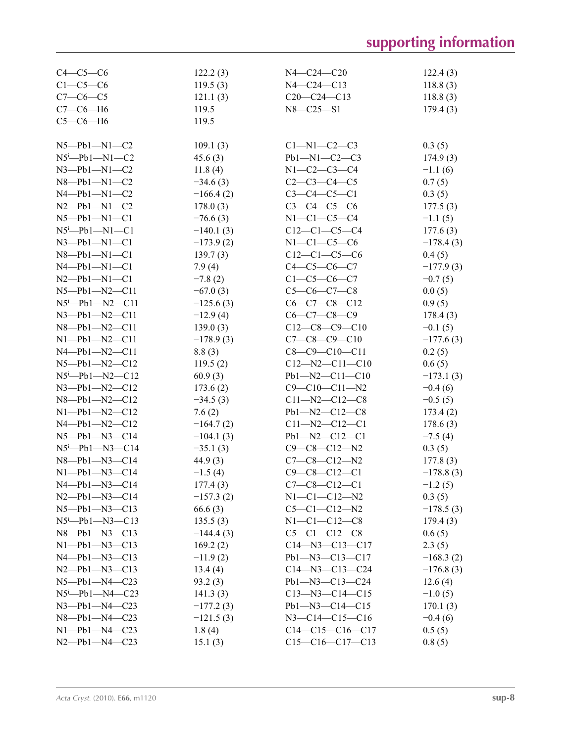# **supporting information**

| $C4-C5-C6$                      | 122.2(3)    | $N4 - C24 - C20$       | 122.4(3)    |
|---------------------------------|-------------|------------------------|-------------|
| $C1-C5-C6$                      | 119.5(3)    | $N4 - C24 - C13$       | 118.8(3)    |
| $C7-C6-C5$                      | 121.1(3)    | $C20-C24-C13$          | 118.8(3)    |
| $C7-C6-H6$                      | 119.5       | $N8 - C25 - S1$        | 179.4(3)    |
| $C5-C6-H6$                      | 119.5       |                        |             |
|                                 |             |                        |             |
| $N5$ — $Pb1$ — $N1$ — $C2$      | 109.1(3)    | $C1-M1-C2-C3$          | 0.3(5)      |
| $N5^i$ -Pb1- $N1$ -C2           | 45.6(3)     | $Pb1 - N1 - C2 - C3$   | 174.9(3)    |
| $N3 - Pb1 - N1 - C2$            | 11.8(4)     | $N1 - C2 - C3 - C4$    | $-1.1(6)$   |
| $N8 - Pb1 - N1 - C2$            | $-34.6(3)$  | $C2-C3-C4-C5$          | 0.7(5)      |
| $N4 - Pb1 - N1 - C2$            | $-166.4(2)$ | $C3 - C4 - C5 - C1$    | 0.3(5)      |
| $N2 - Pb1 - N1 - C2$            | 178.0(3)    | $C3 - C4 - C5 - C6$    | 177.5(3)    |
| $N5 - Pb1 - N1 - C1$            | $-76.6(3)$  | $N1-C1-C5-C4$          | $-1.1(5)$   |
| $N5^i$ -Pb1-N1-C1               | $-140.1(3)$ | $C12-C1-C5-C4$         | 177.6(3)    |
| $N3 - Pb1 - N1 - C1$            | $-173.9(2)$ | $N1-C1-C5-C6$          | $-178.4(3)$ |
| $N8 - Pb1 - N1 - C1$            | 139.7(3)    | $C12-C1-C5-C6$         | 0.4(5)      |
| $N4 - Pb1 - N1 - C1$            | 7.9(4)      | $C4-C5-C6-C7$          | $-177.9(3)$ |
| $N2 - Pb1 - N1 - C1$            | $-7.8(2)$   | $C1-C5-C6-C7$          | $-0.7(5)$   |
| $N5 - Pb1 - N2 - C11$           | $-67.0(3)$  | $C5-C6-C7-C8$          | 0.0(5)      |
| $N5^i$ -Pb1- $N2$ -C11          | $-125.6(3)$ | $C6-C7-C8-C12$         | 0.9(5)      |
| $N3$ — $Pb1$ — $N2$ —C11        | $-12.9(4)$  | $C6-C7-C8-C9$          | 178.4(3)    |
| $N8 - Pb1 - N2 - C11$           | 139.0(3)    | $C12-C8-C9-C10$        | $-0.1(5)$   |
| $N1 - Pb1 - N2 - C11$           | $-178.9(3)$ | $C7-C8-C9-C10$         | $-177.6(3)$ |
| $N4 - Pb1 - N2 - C11$           | 8.8(3)      | $C8-C9-C10-C11$        | 0.2(5)      |
| $N5 - Pb1 - N2 - C12$           | 119.5(2)    | $C12 - N2 - C11 - C10$ | 0.6(5)      |
| $N5^i$ -Pb1- $N2$ -C12          | 60.9(3)     | $Pb1 - N2 - C11 - C10$ | $-173.1(3)$ |
| $N3$ -Pb1- $N2$ -C12            | 173.6(2)    | $C9 - C10 - C11 - N2$  | $-0.4(6)$   |
| $N8 - Pb1 - N2 - C12$           | $-34.5(3)$  | $C11 - N2 - C12 - C8$  | $-0.5(5)$   |
| $N1 - Pb1 - N2 - C12$           | 7.6(2)      | $Pb1 - N2 - C12 - C8$  | 173.4(2)    |
| $N4 - Pb1 - N2 - C12$           | $-164.7(2)$ | $C11 - N2 - C12 - C1$  | 178.6(3)    |
| $N5 - Pb1 - N3 - C14$           | $-104.1(3)$ | $Pb1 - N2 - C12 - C1$  | $-7.5(4)$   |
| $N5^{\text{i}}$ -Pb1- $N3$ -C14 | $-35.1(3)$  | $C9 - C8 - C12 - N2$   | 0.3(5)      |
| $N8 - Pb1 - N3 - C14$           | 44.9(3)     | $C7-C8-C12-N2$         | 177.8(3)    |
| $N1 - Pb1 - N3 - C14$           | $-1.5(4)$   | $C9 - C8 - C12 - C1$   | $-178.8(3)$ |
| $N4 - Pb1 - N3 - C14$           | 177.4(3)    | $C7-C8-C12-C1$         | $-1.2(5)$   |
| $N2 - Pb1 - N3 - C14$           | $-157.3(2)$ | $N1-C1-C12-N2$         | 0.3(5)      |
| $N5 - Pb1 - N3 - C13$           | 66.6(3)     | $C5-C1-C12-N2$         | $-178.5(3)$ |
| $N5^i$ -Pb1- $N3$ -C13          | 135.5(3)    | $N1-C1-C12-C8$         | 179.4(3)    |
| $N8$ — $Pb1$ — $N3$ — $C13$     | $-144.4(3)$ | $C5-C1-C12-C8$         | 0.6(5)      |
| $N1-Pb1-N3-C13$                 | 169.2(2)    | $C14 - N3 - C13 - C17$ | 2.3(5)      |
| $N4 - Pb1 - N3 - C13$           | $-11.9(2)$  | $Pb1 - N3 - C13 - C17$ | $-168.3(2)$ |
| $N2 - Pb1 - N3 - C13$           | 13.4(4)     | $C14 - N3 - C13 - C24$ | $-176.8(3)$ |
| $N5 - Pb1 - N4 - C23$           | 93.2(3)     | Pb1-N3-C13-C24         | 12.6(4)     |
| $N5 - Pb1 - N4 - C23$           | 141.3(3)    | $C13 - N3 - C14 - C15$ | $-1.0(5)$   |
| $N3$ — $Pb1$ — $N4$ — $C23$     | $-177.2(3)$ | $Pb1 - N3 - C14 - C15$ | 170.1(3)    |
| $N8$ — $Pb1$ — $N4$ — $C23$     | $-121.5(3)$ | $N3 - C14 - C15 - C16$ | $-0.4(6)$   |
| $N1 - Pb1 - N4 - C23$           | 1.8(4)      | $C14-C15-C16-C17$      | 0.5(5)      |
| $N2 - Pb1 - N4 - C23$           | 15.1(3)     | $C15-C16-C17-C13$      | 0.8(5)      |